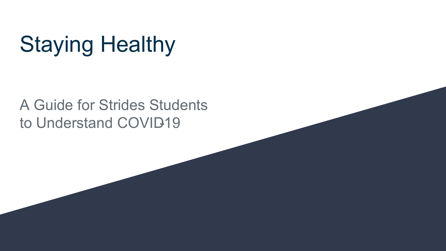# Staying Healthy

### A Guide for Strides Students to Understand COVID19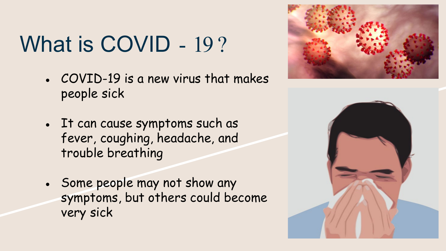# What is COVID - 19?

- $\cdot$  COVID-19 is a new virus that makes people sick
- It can cause symptoms such as fever, coughing, headache, and trouble breathing
- Some people may not show any symptoms, but others could become very sick



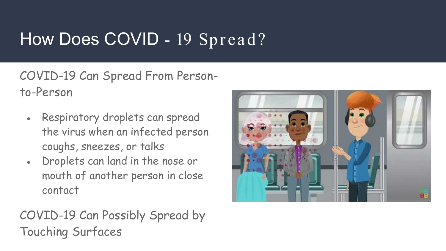## How Does COVID - 19 Spread?

COVID-19 Can Spread From Personto-Person

- Respiratory droplets can spread the virus when an infected person coughs, sneezes, or talks
- Droplets can land in the nose or mouth of another person in close contact

#### COVID-19 Can Possibly Spread by Touching Surfaces

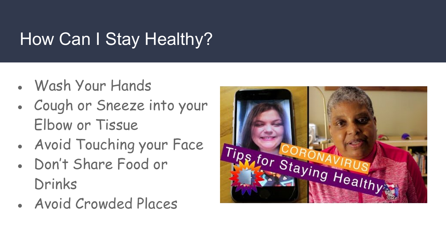# How Can I Stay Healthy?

- Wash Your Hands
- Cough or Sneeze into your Elbow or Tissue
- Avoid Touching your Face
- Don't Share Food or Drinks
- Avoid Crowded Places

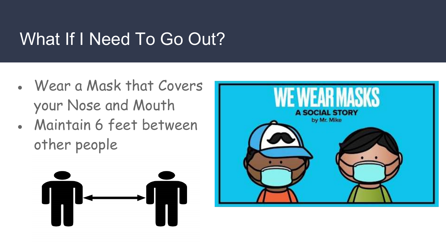## What If I Need To Go Out?

- Wear a Mask that Covers your Nose and Mouth
- Maintain 6 feet between other people



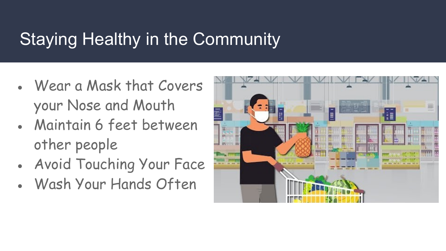## Staying Healthy in the Community

- Wear a Mask that Covers your Nose and Mouth
- Maintain 6 feet between other people
- Avoid Touching Your Face
- Wash Your Hands Often

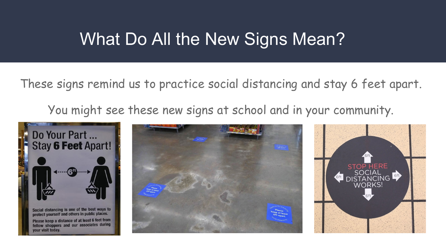### What Do All the New Signs Mean?

These signs remind us to practice social distancing and stay 6 feet apart.

You might see these new signs at school and in your community.





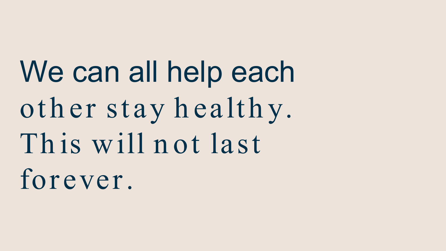We can all help each oth er stay h ealth y. This will not last forever.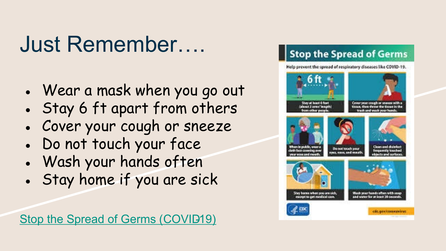# Just Remember….

- Wear a mask when you go out
- Stay 6 ft apart from others
- Cover your cough or sneeze
- Do not touch your face
- Wash your hands often
- Stay home if you are sick

Stop the Spread of Germs (COVID19)

#### **Stop the Spread of Germs**

Help prevent the spread of respiratory diseases like COVID-19.